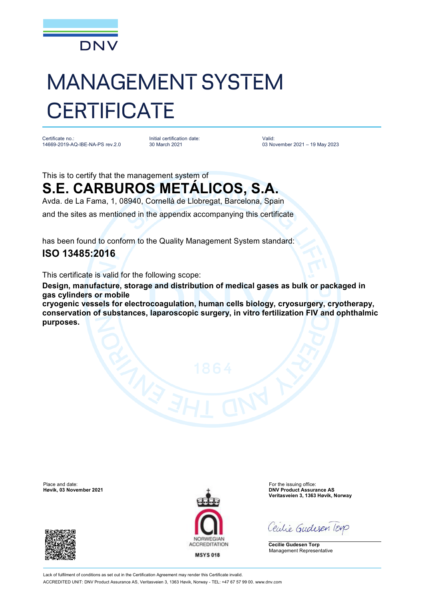

# MANAGEMENT SYSTEM **CERTIFICATE**

Certificate no.: 14669-2019-AQ-IBE-NA-PS rev.2.0

Initial certification date: 30 March 2021

Valid: 03 November 2021 – 19 May 2023

### This is to certify that the management system of **S.E. CARBUROS METÁLICOS, S.A.**

Avda. de La Fama, 1, 08940, Cornellà de Llobregat, Barcelona, Spain

and the sites as mentioned in the appendix accompanying this certificate

has been found to conform to the Quality Management System standard:

### **ISO 13485:2016**

This certificate is valid for the following scope:

**Design, manufacture, storage and distribution of medical gases as bulk or packaged in gas cylinders or mobile**

**cryogenic vessels for electrocoagulation, human cells biology, cryosurgery, cryotherapy, conservation of substances, laparoscopic surgery, in vitro fertilization FIV and ophthalmic purposes.**

Place and date: For the issuing office:<br>
Here is a subset of the issuing office:<br>
Here is a subset of the issuing office: Here is a subset of the issuing office:





**DNV Product Assurance AS Veritasveien 3, 1363 Høvik, Norway**

Ceutie Gudesen Torp

**Cecilie Gudesen Torp** Management Representative

Lack of fulfilment of conditions as set out in the Certification Agreement may render this Certificate invalid. ACCREDITED UNIT: DNV Product Assurance AS, Veritasveien 3, 1363 Høvik, Norway - TEL: +47 67 57 99 00. [www.dnv.com](http://www.dnv.com)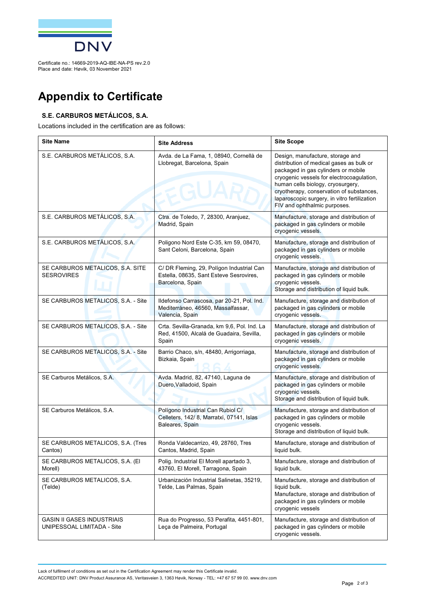

Certificate no.: 14669-2019-AQ-IBE-NA-PS rev.2.0 Place and date: Høvik, 03 November 2021

## **Appendix to Certificate**

#### **S.E. CARBUROS METÁLICOS, S.A.**

Locations included in the certification are as follows:

| <b>Site Name</b>                                                | <b>Site Address</b>                                                                                      | <b>Site Scope</b>                                                                                                                                                                                                                                                                                                                 |
|-----------------------------------------------------------------|----------------------------------------------------------------------------------------------------------|-----------------------------------------------------------------------------------------------------------------------------------------------------------------------------------------------------------------------------------------------------------------------------------------------------------------------------------|
| S.E. CARBUROS METÁLICOS, S.A.                                   | Avda. de La Fama, 1, 08940, Cornellà de<br>Llobregat, Barcelona, Spain                                   | Design, manufacture, storage and<br>distribution of medical gases as bulk or<br>packaged in gas cylinders or mobile<br>cryogenic vessels for electrocoagulation,<br>human cells biology, cryosurgery,<br>cryotherapy, conservation of substances,<br>laparoscopic surgery, in vitro fertilization<br>FIV and ophthalmic purposes. |
| S.E. CARBUROS METÁLICOS, S.A.                                   | Ctra. de Toledo, 7, 28300, Aranjuez,<br>Madrid, Spain                                                    | Manufacture, storage and distribution of<br>packaged in gas cylinders or mobile<br>cryogenic vessels.                                                                                                                                                                                                                             |
| S.E. CARBUROS METÁLICOS, S.A.                                   | Poligono Nord Este C-35, km 59, 08470,<br>Sant Celoni, Barcelona, Spain                                  | Manufacture, storage and distribution of<br>packaged in gas cylinders or mobile<br>cryogenic vessels.                                                                                                                                                                                                                             |
| SE CARBUROS METALICOS, S.A. SITE<br><b>SESROVIRES</b>           | C/ DR Fleming, 29, Polígon Industrial Can<br>Estella, 08635, Sant Esteve Sesrovires,<br>Barcelona, Spain | Manufacture, storage and distribution of<br>packaged in gas cylinders or mobile<br>cryogenic vessels.<br>Storage and distribution of liquid bulk.                                                                                                                                                                                 |
| SE CARBUROS METALICOS, S.A. - Site                              | Ildefonso Carrascosa, par 20-21, Pol. Ind.<br>Mediterráneo, 46560, Massalfassar,<br>Valencia, Spain      | Manufacture, storage and distribution of<br>packaged in gas cylinders or mobile<br>cryogenic vessels.                                                                                                                                                                                                                             |
| SE CARBUROS METALICOS, S.A. - Site                              | Crta. Sevilla-Granada, km 9,6, Pol. Ind. La<br>Red, 41500, Alcalá de Guadaira, Sevilla,<br>Spain         | Manufacture, storage and distribution of<br>packaged in gas cylinders or mobile<br>cryogenic vessels.                                                                                                                                                                                                                             |
| SE CARBUROS METALICOS, S.A. - Site                              | Barrio Chaco, s/n, 48480, Arrigorriaga,<br>Bizkaia, Spain                                                | Manufacture, storage and distribution of<br>packaged in gas cylinders or mobile<br>cryogenic vessels.                                                                                                                                                                                                                             |
| SE Carburos Metálicos, S.A.                                     | Avda. Madrid, 82, 47140, Laguna de<br>Duero, Valladoid, Spain                                            | Manufacture, storage and distribution of<br>packaged in gas cylinders or mobile<br>cryogenic vessels.<br>Storage and distribution of liquid bulk.                                                                                                                                                                                 |
| SE Carburos Metálicos, S.A.                                     | Polígono Industrial Can Rubiol C/<br>Celleters, 142/8, Marratxí, 07141, Islas<br>Baleares, Spain         | Manufacture, storage and distribution of<br>packaged in gas cylinders or mobile<br>cryogenic vessels.<br>Storage and distribution of liquid bulk.                                                                                                                                                                                 |
| SE CARBUROS METALICOS, S.A. (Tres<br>Cantos)                    | Ronda Valdecarrizo, 49, 28760, Tres<br>Cantos, Madrid, Spain                                             | Manufacture, storage and distribution of<br>liquid bulk.                                                                                                                                                                                                                                                                          |
| SE CARBUROS METALICOS, S.A. (EI<br>Morell)                      | Polig. Industrial El Morell apartado 3,<br>43760, El Morell, Tarragona, Spain                            | Manufacture, storage and distribution of<br>liquid bulk.                                                                                                                                                                                                                                                                          |
| SE CARBUROS METALICOS, S.A.<br>(Telde)                          | Urbanización Industrial Salinetas, 35219,<br>Telde, Las Palmas, Spain                                    | Manufacture, storage and distribution of<br>liquid bulk.<br>Manufacture, storage and distribution of<br>packaged in gas cylinders or mobile<br>cryogenic vessels                                                                                                                                                                  |
| <b>GASIN II GASES INDUSTRIAIS</b><br>UNIPESSOAL LIMITADA - Site | Rua do Progresso, 53 Perafita, 4451-801,<br>Leca de Palmeira, Portugal                                   | Manufacture, storage and distribution of<br>packaged in gas cylinders or mobile<br>cryogenic vessels.                                                                                                                                                                                                                             |